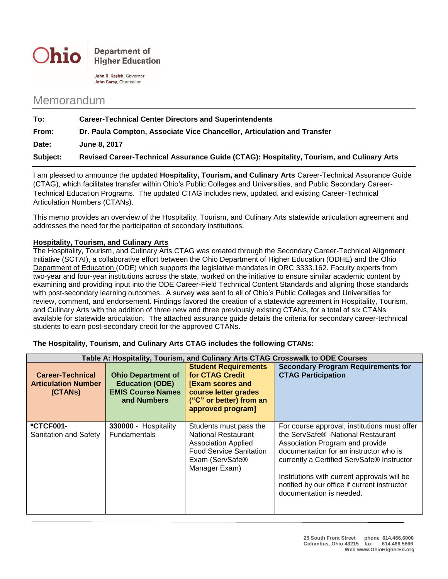

**Department of Higher Education** 

John R. Kasich, Governor John Carey, Chancellor

## Memorandum

| To:      | <b>Career-Technical Center Directors and Superintendents</b>                             |
|----------|------------------------------------------------------------------------------------------|
| From:    | Dr. Paula Compton, Associate Vice Chancellor, Articulation and Transfer                  |
| Date:    | <b>June 8, 2017</b>                                                                      |
| Subject: | Revised Career-Technical Assurance Guide (CTAG): Hospitality, Tourism, and Culinary Arts |

I am pleased to announce the updated **Hospitality, Tourism, and Culinary Arts** Career-Technical Assurance Guide (CTAG), which facilitates transfer within Ohio's Public Colleges and Universities, and Public Secondary Career-Technical Education Programs. The updated CTAG includes new, updated, and existing Career-Technical Articulation Numbers (CTANs).

This memo provides an overview of the Hospitality, Tourism, and Culinary Arts statewide articulation agreement and addresses the need for the participation of secondary institutions.

## **Hospitality, Tourism, and Culinary Arts**

The Hospitality, Tourism, and Culinary Arts CTAG was created through the Secondary Career-Technical Alignment Initiative (SCTAI), a collaborative effort between the Ohio Department of Higher Education (ODHE) and the Ohio Department of Education (ODE) which supports the legislative mandates in ORC 3333.162. Faculty experts from two-year and four-year institutions across the state, worked on the initiative to ensure similar academic content by examining and providing input into the ODE Career-Field Technical Content Standards and aligning those standards with post-secondary learning outcomes. A survey was sent to all of Ohio's Public Colleges and Universities for review, comment, and endorsement. Findings favored the creation of a statewide agreement in Hospitality, Tourism, and Culinary Arts with the addition of three new and three previously existing CTANs, for a total of six CTANs available for statewide articulation. The attached assurance guide details the criteria for secondary career-technical students to earn post-secondary credit for the approved CTANs.

|  | The Hospitality, Tourism, and Culinary Arts CTAG includes the following CTANs: |
|--|--------------------------------------------------------------------------------|
|--|--------------------------------------------------------------------------------|

| Table A: Hospitality, Tourism, and Culinary Arts CTAG Crosswalk to ODE Courses |                                                                                                |                                                                                                                                                          |                                                                                                                                                                                                                                                                                                                                          |  |  |  |  |
|--------------------------------------------------------------------------------|------------------------------------------------------------------------------------------------|----------------------------------------------------------------------------------------------------------------------------------------------------------|------------------------------------------------------------------------------------------------------------------------------------------------------------------------------------------------------------------------------------------------------------------------------------------------------------------------------------------|--|--|--|--|
| <b>Career-Technical</b><br><b>Articulation Number</b><br>(CTANS)               | <b>Ohio Department of</b><br><b>Education (ODE)</b><br><b>EMIS Course Names</b><br>and Numbers | <b>Student Requirements</b><br>for CTAG Credit<br><b>[Exam scores and</b><br>course letter grades<br>("C" or better) from an<br>approved program]        | <b>Secondary Program Requirements for</b><br><b>CTAG Participation</b>                                                                                                                                                                                                                                                                   |  |  |  |  |
| <b>*CTCF001-</b><br>Sanitation and Safety                                      | 330000 - Hospitality<br><b>Fundamentals</b>                                                    | Students must pass the<br><b>National Restaurant</b><br><b>Association Applied</b><br><b>Food Service Sanitation</b><br>Exam (ServSafe®<br>Manager Exam) | For course approval, institutions must offer<br>the ServSafe® -National Restaurant<br>Association Program and provide<br>documentation for an instructor who is<br>currently a Certified ServSafe® Instructor<br>Institutions with current approvals will be<br>notified by our office if current instructor<br>documentation is needed. |  |  |  |  |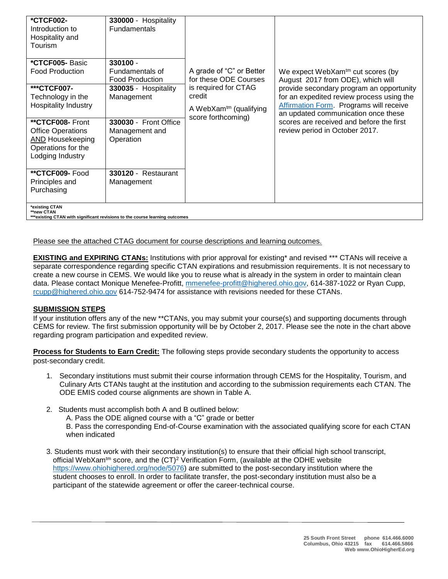| <b>*CTCF002-</b><br>Introduction to<br>Hospitality and<br>Tourism                                                                                                                    | 330000 - Hospitality<br>Fundamentals                                                       |                                                                                            |                                                                                                                                                                                                                                                       |  |  |
|--------------------------------------------------------------------------------------------------------------------------------------------------------------------------------------|--------------------------------------------------------------------------------------------|--------------------------------------------------------------------------------------------|-------------------------------------------------------------------------------------------------------------------------------------------------------------------------------------------------------------------------------------------------------|--|--|
| *CTCF005- Basic<br><b>Food Production</b>                                                                                                                                            | 330100 -<br>Fundamentals of<br><b>Food Production</b>                                      | A grade of "C" or Better<br>for these ODE Courses                                          | We expect WebXam <sup>tm</sup> cut scores (by<br>August 2017 from ODE), which will                                                                                                                                                                    |  |  |
| ***CTCF007-<br>Technology in the<br><b>Hospitality Industry</b><br>**CTCF008- Front<br><b>Office Operations</b><br><b>AND Housekeeping</b><br>Operations for the<br>Lodging Industry | 330035 - Hospitality<br>Management<br>330030 - Front Office<br>Management and<br>Operation | is required for CTAG<br>credit<br>A WebXam <sup>tm</sup> (qualifying<br>score forthcoming) | provide secondary program an opportunity<br>for an expedited review process using the<br>Affirmation Form. Programs will receive<br>an updated communication once these<br>scores are received and before the first<br>review period in October 2017. |  |  |
| **CTCF009-Food<br>Principles and<br>Purchasing                                                                                                                                       | 330120 - Restaurant<br>Management                                                          |                                                                                            |                                                                                                                                                                                                                                                       |  |  |
| *existing CTAN<br>**new CTAN<br>tttavlating CTAN with algolficent sevialence to the correor location arriverse                                                                       |                                                                                            |                                                                                            |                                                                                                                                                                                                                                                       |  |  |

**\*\*\*existing CTAN with significant revisions to the course learning outcomes**

Please see the attached CTAG document for course descriptions and learning outcomes.

**EXISTING and EXPIRING CTANs:** Institutions with prior approval for existing\* and revised \*\*\* CTANs will receive a separate correspondence regarding specific CTAN expirations and resubmission requirements. It is not necessary to create a new course in CEMS. We would like you to reuse what is already in the system in order to maintain clean data. Please contact Monique Menefee-Profitt, [mmenefee-profitt@highered.ohio.gov,](mailto:mmenefee-profitt@highered.ohio.gov) 614-387-1022 or Ryan Cupp, [rcupp@highered.ohio.gov](mailto:rcupp@highered.ohio.gov) 614-752-9474 for assistance with revisions needed for these CTANs.

## **SUBMISSION STEPS**

If your institution offers any of the new \*\*CTANs, you may submit your course(s) and supporting documents through CEMS for review. The first submission opportunity will be by October 2, 2017. Please see the note in the chart above regarding program participation and expedited review.

**Process for Students to Earn Credit:** The following steps provide secondary students the opportunity to access post-secondary credit.

- 1. Secondary institutions must submit their course information through CEMS for the Hospitality, Tourism, and Culinary Arts CTANs taught at the institution and according to the submission requirements each CTAN. The ODE EMIS coded course alignments are shown in Table A.
- 2. Students must accomplish both A and B outlined below:
	- A. Pass the ODE aligned course with a "C" grade or better

B. Pass the corresponding End-of-Course examination with the associated qualifying score for each CTAN when indicated

3. Students must work with their secondary institution(s) to ensure that their official high school transcript, official WebXam<sup>tm</sup> score, and the  $(CT)^2$  Verification Form, (available at the ODHE website [https://www.ohiohighered.org/node/5076\)](https://www.ohiohighered.org/node/5076) are submitted to the post-secondary institution where the student chooses to enroll. In order to facilitate transfer, the post-secondary institution must also be a participant of the statewide agreement or offer the career-technical course.